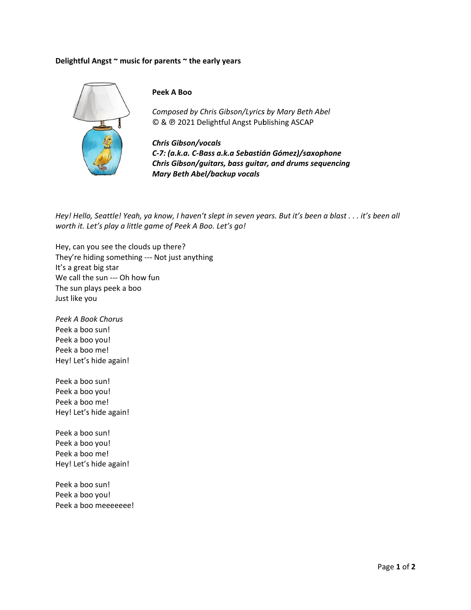## Delightful Angst ~ music for parents ~ the early years



## Peek A Boo

Composed by Chris Gibson/Lyrics by Mary Beth Abel © & @ 2021 Delightful Angst Publishing ASCAP

**Chris Gibson/vocals** C-7: (a.k.a. C-Bass a.k.a Sebastián Gómez)/saxophone Chris Gibson/guitars, bass guitar, and drums sequencing **Mary Beth Abel/backup vocals** 

Hey! Hello, Seattle! Yeah, ya know, I haven't slept in seven years. But it's been a blast . . . it's been all worth it. Let's play a little game of Peek A Boo. Let's go!

Hey, can you see the clouds up there? They're hiding something --- Not just anything It's a great big star We call the sun --- Oh how fun The sun plays peek a boo Just like you

Peek A Book Chorus Peek a boo sun! Peek a boo you! Peek a boo me! Hey! Let's hide again!

Peek a boo sun! Peek a boo you! Peek a boo me! Hey! Let's hide again!

Peek a boo sun! Peek a boo you! Peek a boo me! Hey! Let's hide again!

Peek a boo sun! Peek a boo you! Peek a boo meeeeeee!